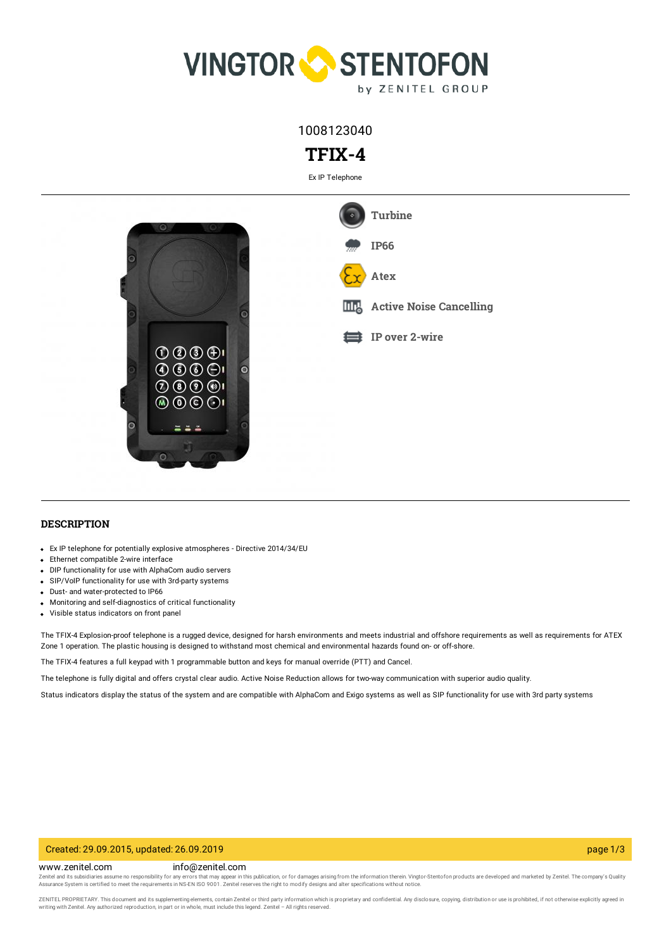

1008123040

# **TFIX-4**

Ex IP Telephone



## **DESCRIPTION**

- Ex IP telephone for potentially explosive atmospheres Directive 2014/34/EU
- Ethernet compatible 2-wire interface
- DIP functionality for use with AlphaCom audio servers
- SIP/VoIP functionality for use with 3rd-party systems
- Dust- and water-protected to IP66
- Monitoring and self-diagnostics of critical functionality
- Visible status indicators on front panel

The TFIX-4 Explosion-proof telephone is a rugged device, designed for harsh environments and meets industrial and offshore requirements as well as requirements for ATEX Zone 1 operation. The plastic housing is designed to withstand most chemical and environmental hazards found on- or off-shore.

The TFIX-4 features a full keypad with 1 programmable button and keys for manual override (PTT) and Cancel.

The telephone is fully digital and offers crystal clear audio. Active Noise Reduction allows for two-way communication with superior audio quality.

Status indicators display the status of the system and are compatible with AlphaCom and Exigo systems as well as SIP functionality for use with 3rd party systems

### Created: 29.09.2015, updated: 26.09.2019 page 1/3

www.zenitel.com info@zenitel.com

Zenitel and its subsidiaries assume no responsibility for any errors that may appear in this publication, or for damages arising from the information therein. Vingtor-Stentofon products are developed and marketed by Zenite

ZENITEL PROPRIETARY. This document and its supplementing elements, contain Zenitel or third party information which is proprietary and confidential. Any disclosure, copying, distribution or use is prohibited, if not otherw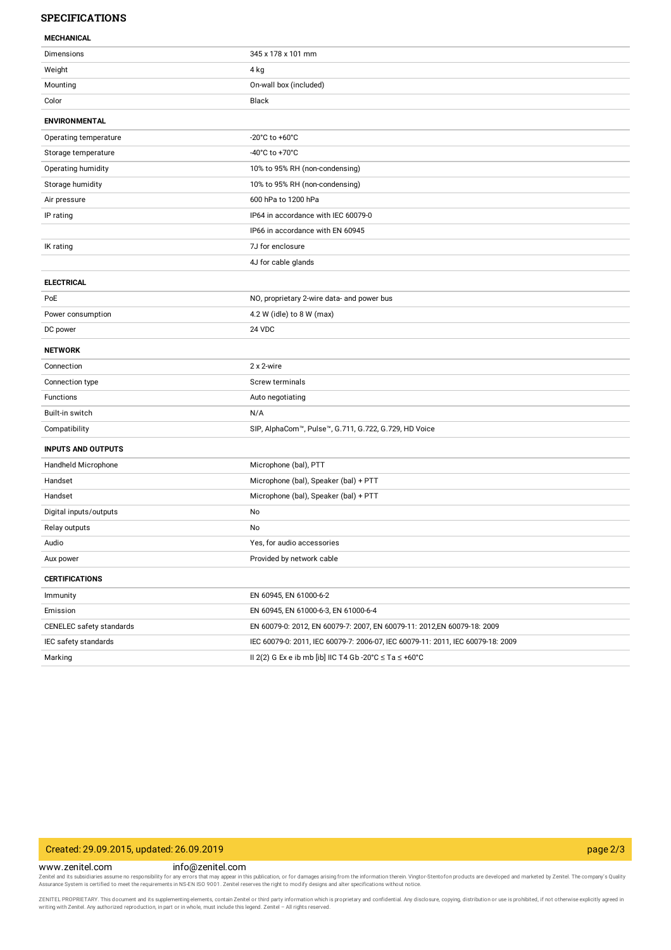## **SPECIFICATIONS**

### **MECHANICAL**

| ויוניים וריוניים          |                                                                                 |
|---------------------------|---------------------------------------------------------------------------------|
| Dimensions                | 345 x 178 x 101 mm                                                              |
| Weight                    | 4 kg                                                                            |
| Mounting                  | On-wall box (included)                                                          |
| Color                     | Black                                                                           |
| <b>ENVIRONMENTAL</b>      |                                                                                 |
| Operating temperature     | -20 $^{\circ}$ C to +60 $^{\circ}$ C                                            |
| Storage temperature       | -40°C to +70°C                                                                  |
| Operating humidity        | 10% to 95% RH (non-condensing)                                                  |
| Storage humidity          | 10% to 95% RH (non-condensing)                                                  |
| Air pressure              | 600 hPa to 1200 hPa                                                             |
| IP rating                 | IP64 in accordance with IEC 60079-0                                             |
|                           | IP66 in accordance with EN 60945                                                |
| IK rating                 | 7J for enclosure                                                                |
|                           | 4J for cable glands                                                             |
| <b>ELECTRICAL</b>         |                                                                                 |
| PoE                       | NO, proprietary 2-wire data- and power bus                                      |
| Power consumption         | 4.2 W (idle) to 8 W (max)                                                       |
| DC power                  | 24 VDC                                                                          |
| <b>NETWORK</b>            |                                                                                 |
| Connection                | 2 x 2-wire                                                                      |
| Connection type           | Screw terminals                                                                 |
| Functions                 | Auto negotiating                                                                |
| Built-in switch           | N/A                                                                             |
| Compatibility             | SIP, AlphaCom™, Pulse™, G.711, G.722, G.729, HD Voice                           |
| <b>INPUTS AND OUTPUTS</b> |                                                                                 |
| Handheld Microphone       | Microphone (bal), PTT                                                           |
| Handset                   | Microphone (bal), Speaker (bal) + PTT                                           |
| Handset                   | Microphone (bal), Speaker (bal) + PTT                                           |
| Digital inputs/outputs    | No                                                                              |
| Relay outputs             | No                                                                              |
| Audio                     | Yes, for audio accessories                                                      |
| Aux power                 | Provided by network cable                                                       |
| <b>CERTIFICATIONS</b>     |                                                                                 |
| Immunity                  | EN 60945, EN 61000-6-2                                                          |
| Emission                  | EN 60945, EN 61000-6-3, EN 61000-6-4                                            |
| CENELEC safety standards  | EN 60079-0: 2012, EN 60079-7: 2007, EN 60079-11: 2012, EN 60079-18: 2009        |
| IEC safety standards      | IEC 60079-0: 2011, IEC 60079-7: 2006-07, IEC 60079-11: 2011, IEC 60079-18: 2009 |
| Marking                   | II 2(2) G Ex e ib mb [ib] IIC T4 Gb -20°C $\leq$ Ta $\leq$ +60°C                |

# Created: 29.09.2015, updated: 26.09.2019 page 2/3

#### www.zenitel.com info@zenitel.com

Zenitel and its subsidiaries assume no responsibility for any errors that may appear in this publication, or for damages arising from the information therein. Vingtor-Stentofon products are developed and marketed by Zenite

ZENITEL PROPRIETARY. This document and its supplementing elements, contain Zenitel or third party information which is proprietary and confidential. Any disclosure, copying, distribution or use is prohibited, if not otherw